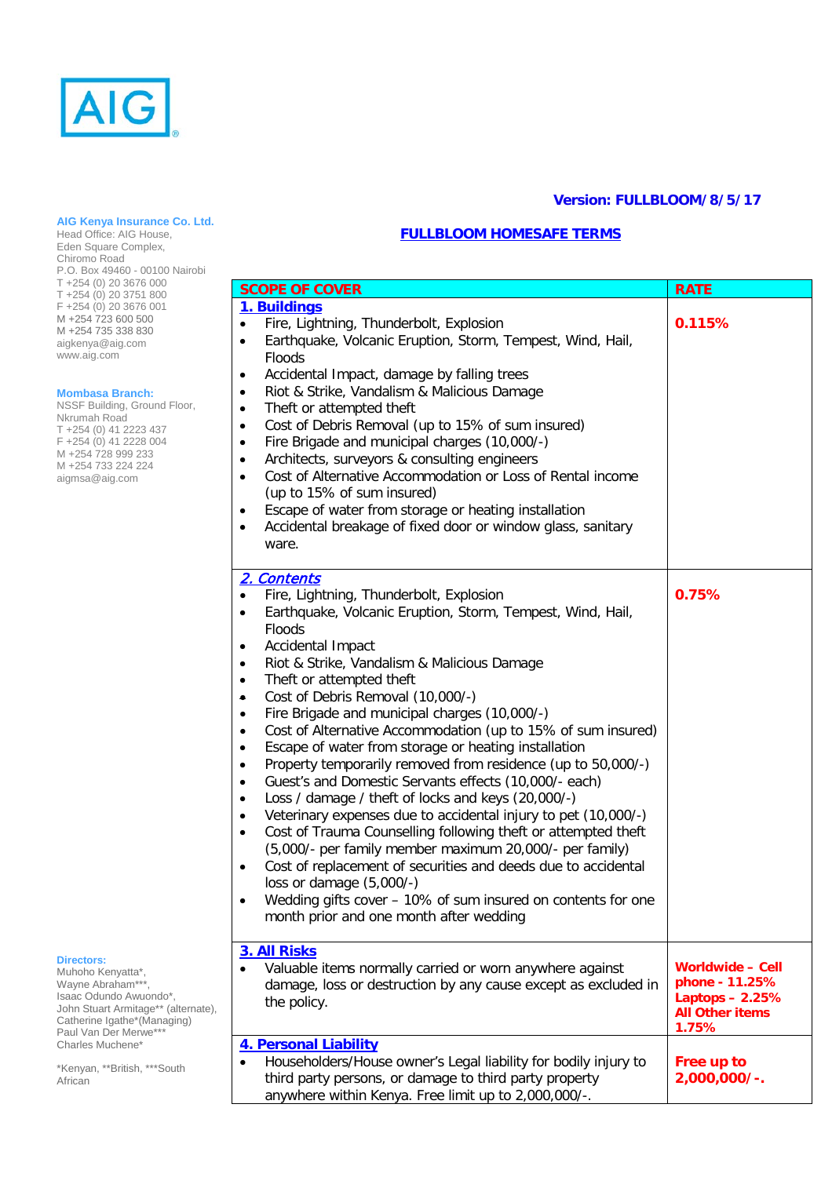

### **AIG Kenya Insurance Co. Ltd.**

Head Office: AIG House, Eden Square Complex, Chiromo Road P.O. Box 49460 - 00100 Nairobi T +254 (0) 20 3676 000 T +254 (0) 20 3751 800 F +254 (0) 20 3676 001 M +254 723 600 500<br>M +254 735 338 830 M +254 735 338 830 aigkenya@aig.com www.aig.com

#### **Mombasa Branch:**

NSSF Building, Ground Floor, Nkrumah Road T +254 (0) 41 2223 437 F +254 (0) 41 2228 004 M +254 728 999 233 M +254 733 224 224 [aigmsa@aig.co](mailto:aigmsa@aig.c)m

# **Directors:**

Muhoho Kenyatta\*, Wayne Abraham\*\*\*, Isaac Odundo Awuondo\*, John Stuart Armitage\*\* (alternate), Catherine Igathe\*(Managing) Paul Van Der Merwe\*\*\* Charles Muchene\*

\*Kenyan, \*\*British, \*\*\*South **African** 

## **Version: FULLBLOOM/8/5/17**

## **FULLBLOOM HOMESAFE TERMS**

| <b>SCOPE OF COVER</b>                                                                                                                                                                                                                                                                                                                                                                                                                                                                                                                                                                                                                                                                                                                                                                                                                                                                                                                                                                                                                                                                                                                                                                                        | <b>RATE</b>                                                                                     |
|--------------------------------------------------------------------------------------------------------------------------------------------------------------------------------------------------------------------------------------------------------------------------------------------------------------------------------------------------------------------------------------------------------------------------------------------------------------------------------------------------------------------------------------------------------------------------------------------------------------------------------------------------------------------------------------------------------------------------------------------------------------------------------------------------------------------------------------------------------------------------------------------------------------------------------------------------------------------------------------------------------------------------------------------------------------------------------------------------------------------------------------------------------------------------------------------------------------|-------------------------------------------------------------------------------------------------|
| 1. Buildings<br>Fire, Lightning, Thunderbolt, Explosion<br>Earthquake, Volcanic Eruption, Storm, Tempest, Wind, Hail,<br>$\bullet$<br>Floods<br>Accidental Impact, damage by falling trees<br>$\bullet$<br>Riot & Strike, Vandalism & Malicious Damage<br>$\bullet$<br>Theft or attempted theft<br>$\bullet$<br>Cost of Debris Removal (up to 15% of sum insured)<br>$\bullet$<br>Fire Brigade and municipal charges (10,000/-)<br>$\bullet$<br>Architects, surveyors & consulting engineers<br>$\bullet$<br>Cost of Alternative Accommodation or Loss of Rental income<br>$\bullet$<br>(up to 15% of sum insured)<br>Escape of water from storage or heating installation<br>٠<br>Accidental breakage of fixed door or window glass, sanitary<br>$\bullet$<br>ware.                                                                                                                                                                                                                                                                                                                                                                                                                                         | 0.115%                                                                                          |
| 2. Contents<br>Fire, Lightning, Thunderbolt, Explosion<br>$\bullet$<br>Earthquake, Volcanic Eruption, Storm, Tempest, Wind, Hail,<br>٠<br>Floods<br>Accidental Impact<br>٠<br>Riot & Strike, Vandalism & Malicious Damage<br>$\bullet$<br>Theft or attempted theft<br>$\bullet$<br>Cost of Debris Removal (10,000/-)<br>$\bullet$<br>Fire Brigade and municipal charges (10,000/-)<br>$\bullet$<br>Cost of Alternative Accommodation (up to 15% of sum insured)<br>$\bullet$<br>Escape of water from storage or heating installation<br>$\bullet$<br>Property temporarily removed from residence (up to 50,000/-)<br>$\bullet$<br>Guest's and Domestic Servants effects (10,000/- each)<br>$\bullet$<br>Loss / damage / theft of locks and keys (20,000/-)<br>٠<br>Veterinary expenses due to accidental injury to pet (10,000/-)<br>$\bullet$<br>Cost of Trauma Counselling following theft or attempted theft<br>$\bullet$<br>(5,000/- per family member maximum 20,000/- per family)<br>Cost of replacement of securities and deeds due to accidental<br>$\bullet$<br>loss or damage (5,000/-)<br>Wedding gifts cover - 10% of sum insured on contents for one<br>month prior and one month after wedding | 0.75%                                                                                           |
| 3. All Risks<br>Valuable items normally carried or worn anywhere against<br>damage, loss or destruction by any cause except as excluded in<br>the policy.                                                                                                                                                                                                                                                                                                                                                                                                                                                                                                                                                                                                                                                                                                                                                                                                                                                                                                                                                                                                                                                    | <b>Worldwide - Cell</b><br>phone - 11.25%<br>Laptops - 2.25%<br><b>All Other items</b><br>1.75% |
| 4. Personal Liability<br>Householders/House owner's Legal liability for bodily injury to<br>$\bullet$<br>third party persons, or damage to third party property<br>anywhere within Kenya. Free limit up to 2,000,000/-.                                                                                                                                                                                                                                                                                                                                                                                                                                                                                                                                                                                                                                                                                                                                                                                                                                                                                                                                                                                      | Free up to<br>2,000,000/-.                                                                      |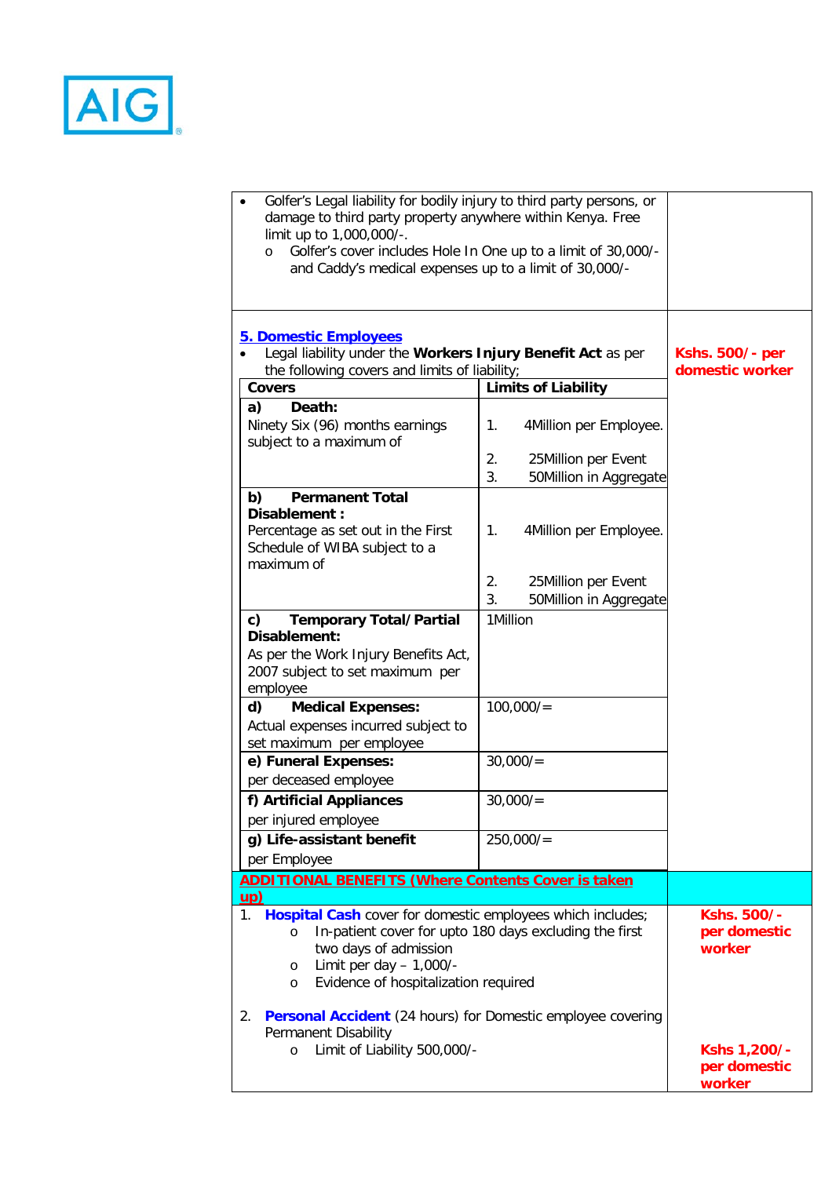

| Golfer's Legal liability for bodily injury to third party persons, or<br>damage to third party property anywhere within Kenya. Free<br>limit up to 1,000,000/-.<br>Golfer's cover includes Hole In One up to a limit of 30,000/-<br>$\circ$<br>and Caddy's medical expenses up to a limit of 30,000/- |                                                           |                                           |
|-------------------------------------------------------------------------------------------------------------------------------------------------------------------------------------------------------------------------------------------------------------------------------------------------------|-----------------------------------------------------------|-------------------------------------------|
| <b>5. Domestic Employees</b><br>Legal liability under the Workers Injury Benefit Act as per<br>the following covers and limits of liability;                                                                                                                                                          |                                                           | <b>Kshs. 500/- per</b><br>domestic worker |
| <b>Covers</b>                                                                                                                                                                                                                                                                                         | <b>Limits of Liability</b>                                |                                           |
| Death:<br>a)<br>Ninety Six (96) months earnings<br>subject to a maximum of                                                                                                                                                                                                                            | 1.<br>4Million per Employee.                              |                                           |
|                                                                                                                                                                                                                                                                                                       | 2.<br>25Million per Event<br>3.<br>50Million in Aggregate |                                           |
| <b>Permanent Total</b><br>b)<br>Disablement :<br>Percentage as set out in the First<br>Schedule of WIBA subject to a<br>maximum of                                                                                                                                                                    | 4Million per Employee.<br>1.                              |                                           |
|                                                                                                                                                                                                                                                                                                       | 2.<br>25Million per Event<br>3.<br>50Million in Aggregate |                                           |
| <b>Temporary Total/Partial</b><br>c)<br>Disablement:                                                                                                                                                                                                                                                  | 1Million                                                  |                                           |
| As per the Work Injury Benefits Act,<br>2007 subject to set maximum per<br>employee                                                                                                                                                                                                                   |                                                           |                                           |
| <b>Medical Expenses:</b><br>d)<br>Actual expenses incurred subject to<br>set maximum per employee                                                                                                                                                                                                     | 100,000/                                                  |                                           |
| e) Funeral Expenses:<br>per deceased employee                                                                                                                                                                                                                                                         | 30,000/                                                   |                                           |
| f) Artificial Appliances<br>per injured employee                                                                                                                                                                                                                                                      | 30,000/                                                   |                                           |
| g) Life-assistant benefit<br>per Employee                                                                                                                                                                                                                                                             | 250,000/                                                  |                                           |
| <b>ADDITIONAL BENEFITS (Where Contents Cover is taken</b><br><u>up)</u>                                                                                                                                                                                                                               |                                                           |                                           |
| Hospital Cash cover for domestic employees which includes;<br>1.<br>$\circ$<br>two days of admission<br>Limit per day $- 1,000/$ -<br>$\circ$<br>Evidence of hospitalization required<br>$\circ$                                                                                                      | In-patient cover for upto 180 days excluding the first    | Kshs. 500/-<br>per domestic<br>worker     |
| 2. Personal Accident (24 hours) for Domestic employee covering<br>Permanent Disability<br>Limit of Liability 500,000/-<br>$\circ$                                                                                                                                                                     |                                                           | Kshs 1,200/-<br>per domestic<br>worker    |